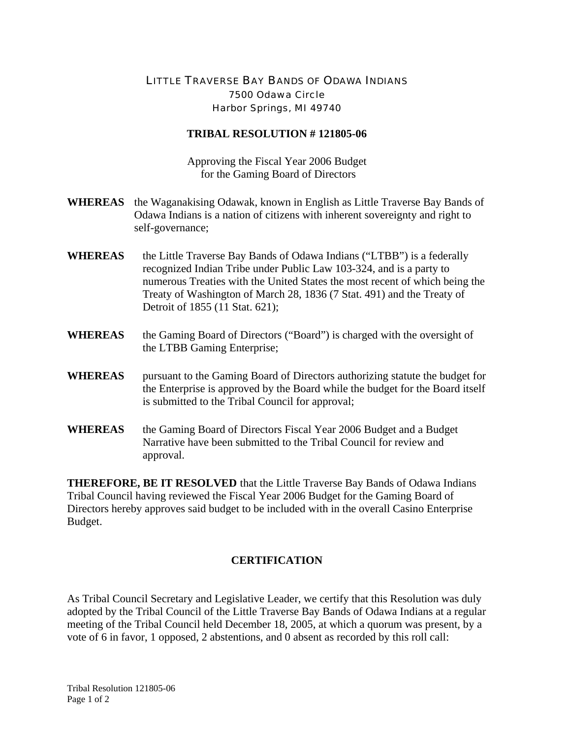## LITTLE TRAVERSE BAY BANDS OF ODAWA INDIANS 7500 Odawa Circle Harbor Springs, MI 49740

## **TRIBAL RESOLUTION # 121805-06**

Approving the Fiscal Year 2006 Budget for the Gaming Board of Directors

- **WHEREAS** the Waganakising Odawak, known in English as Little Traverse Bay Bands of Odawa Indians is a nation of citizens with inherent sovereignty and right to self-governance;
- **WHEREAS** the Little Traverse Bay Bands of Odawa Indians ("LTBB") is a federally recognized Indian Tribe under Public Law 103-324, and is a party to numerous Treaties with the United States the most recent of which being the Treaty of Washington of March 28, 1836 (7 Stat. 491) and the Treaty of Detroit of 1855 (11 Stat. 621);
- **WHEREAS** the Gaming Board of Directors ("Board") is charged with the oversight of the LTBB Gaming Enterprise;
- **WHEREAS** pursuant to the Gaming Board of Directors authorizing statute the budget for the Enterprise is approved by the Board while the budget for the Board itself is submitted to the Tribal Council for approval;
- **WHEREAS** the Gaming Board of Directors Fiscal Year 2006 Budget and a Budget Narrative have been submitted to the Tribal Council for review and approval.

**THEREFORE, BE IT RESOLVED** that the Little Traverse Bay Bands of Odawa Indians Tribal Council having reviewed the Fiscal Year 2006 Budget for the Gaming Board of Directors hereby approves said budget to be included with in the overall Casino Enterprise Budget.

## **CERTIFICATION**

As Tribal Council Secretary and Legislative Leader, we certify that this Resolution was duly adopted by the Tribal Council of the Little Traverse Bay Bands of Odawa Indians at a regular meeting of the Tribal Council held December 18, 2005, at which a quorum was present, by a vote of 6 in favor, 1 opposed, 2 abstentions, and 0 absent as recorded by this roll call: